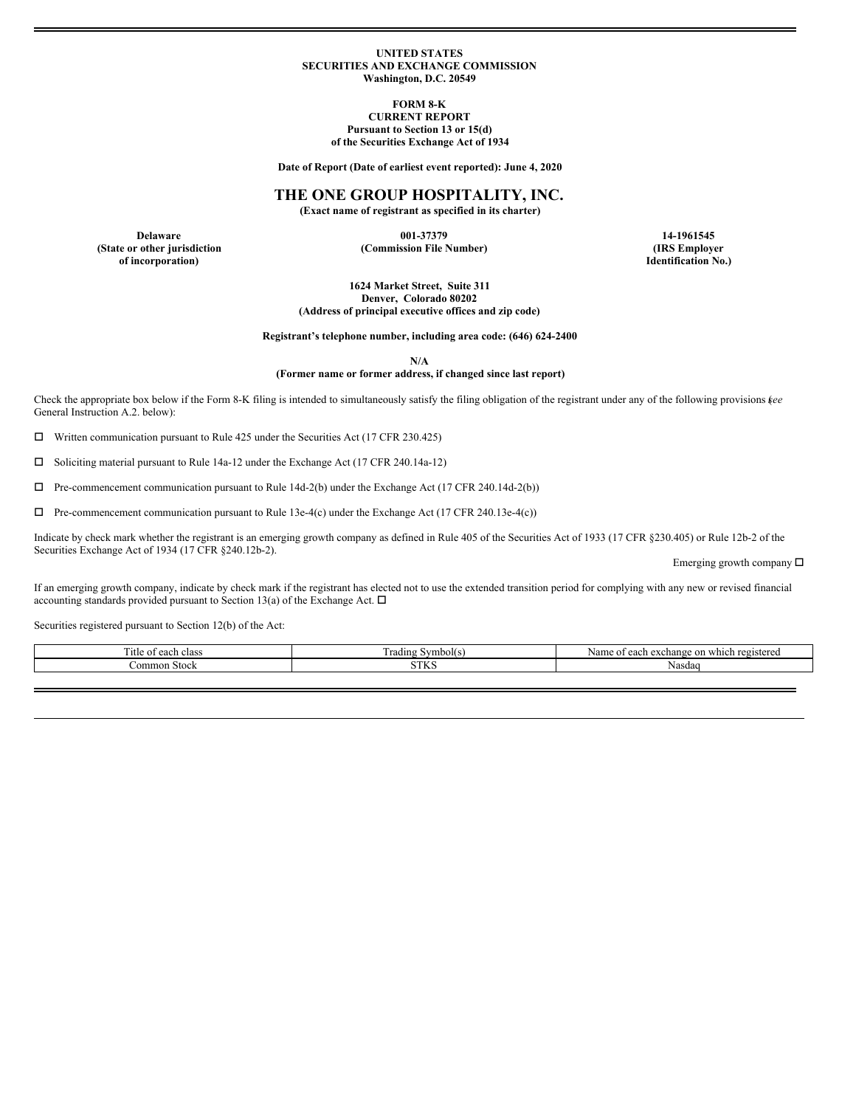#### **UNITED STATES SECURITIES AND EXCHANGE COMMISSION Washington, D.C. 20549**

**FORM 8-K**

## **CURRENT REPORT Pursuant to Section 13 or 15(d)**

**of the Securities Exchange Act of 1934**

**Date of Report (Date of earliest event reported): June 4, 2020**

## **THE ONE GROUP HOSPITALITY, INC.**

**(Exact name of registrant as specified in its charter)**

**of incorporation) Identification No.)**

**Delaware 001-37379 14-1961545 (State or other jurisdiction (Commission File Number) (IRS Employer**

**1624 Market Street, Suite 311 Denver, Colorado 80202 (Address of principal executive offices and zip code)**

**Registrant's telephone number, including area code: (646) 624-2400**

**N/A**

### **(Former name or former address, if changed since last report)**

Check the appropriate box below if the Form 8-K filing is intended to simultaneously satisfy the filing obligation of the registrant under any of the following provisions (*see* General Instruction A.2. below):

 $\Box$  Written communication pursuant to Rule 425 under the Securities Act (17 CFR 230.425)

 $\square$  Soliciting material pursuant to Rule 14a-12 under the Exchange Act (17 CFR 240.14a-12)

 $\Box$  Pre-commencement communication pursuant to Rule 14d-2(b) under the Exchange Act (17 CFR 240.14d-2(b))

 $\Box$  Pre-commencement communication pursuant to Rule 13e-4(c) under the Exchange Act (17 CFR 240.13e-4(c))

Indicate by check mark whether the registrant is an emerging growth company as defined in Rule 405 of the Securities Act of 1933 (17 CFR §230.405) or Rule 12b-2 of the Securities Exchange Act of 1934 (17 CFR §240.12b-2).

Emerging growth company  $\square$ 

If an emerging growth company, indicate by check mark if the registrant has elected not to use the extended transition period for complying with any new or revised financial accounting standards provided pursuant to Section 13(a) of the Exchange Act.  $\Box$ 

Securities registered pursuant to Section 12(b) of the Act:

| l'itle of<br>each class | $\overline{\phantom{a}}$<br>rading<br>Symbol(s) | on which registered<br>r exchange<br>Name<br>each<br>: OT |
|-------------------------|-------------------------------------------------|-----------------------------------------------------------|
| Common Stock            | $\alpha$ mrz<br>11 I.V.                         | Nasdaq                                                    |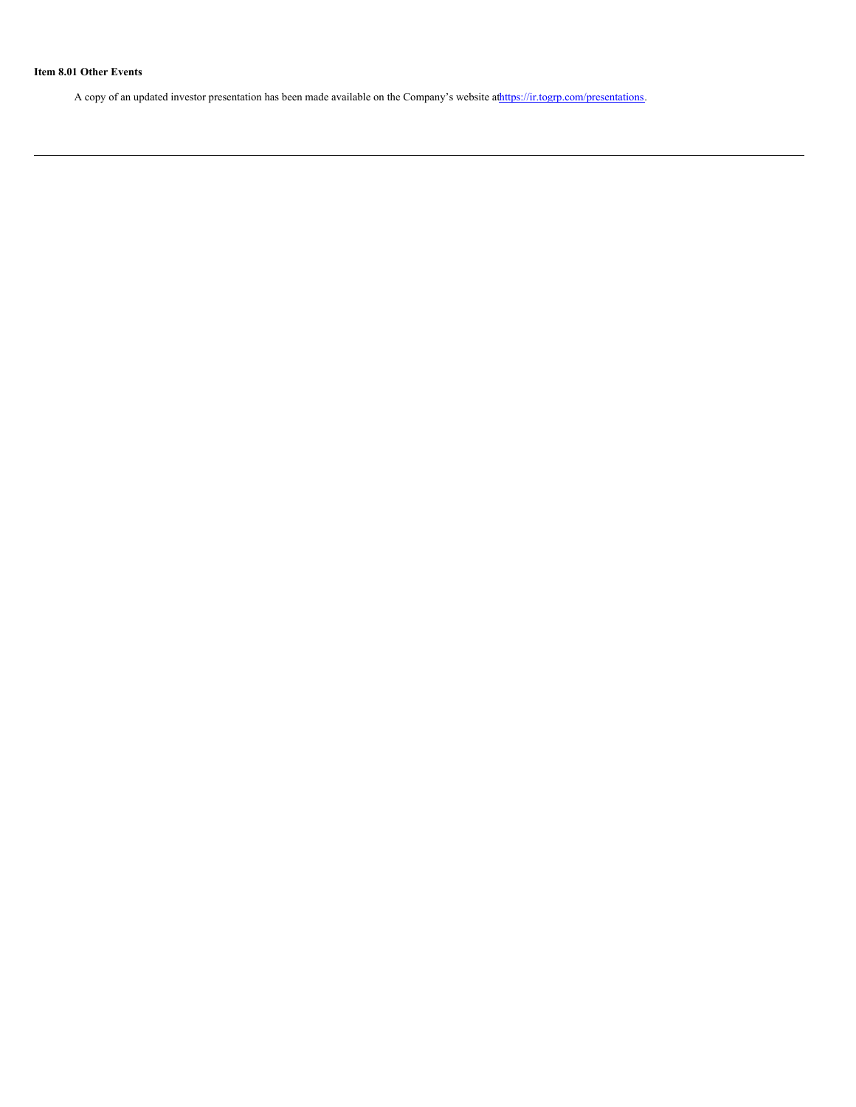# **Item 8.01 Other Events**

A copy of an updated investor presentation has been made available on the Company's website athttps://ir.togrp.com/presentations.